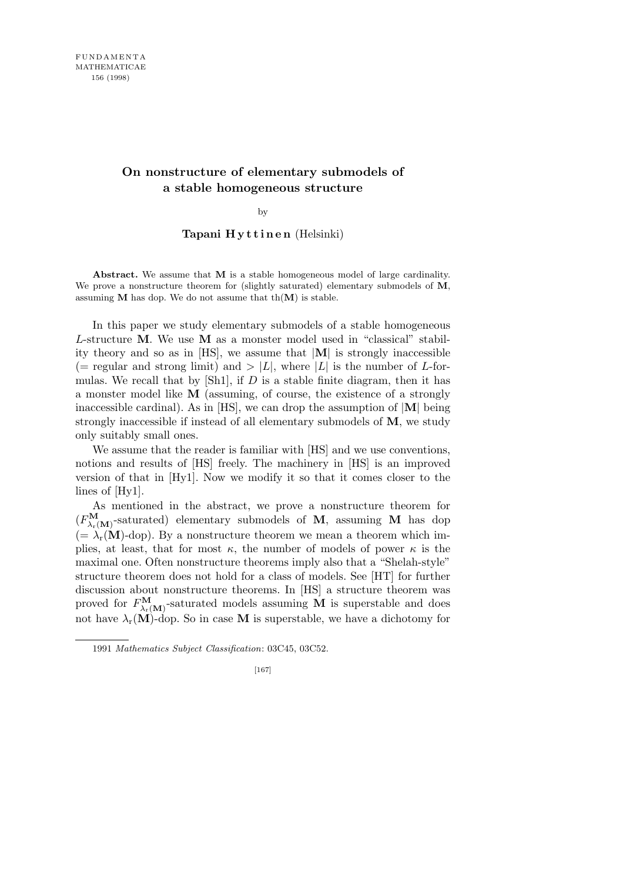## **On nonstructure of elementary submodels of a stable homogeneous structure**

by

Tapani Hyttinen (Helsinki)

**Abstract.** We assume that **M** is a stable homogeneous model of large cardinality. We prove a nonstructure theorem for (slightly saturated) elementary submodels of **M**, assuming **M** has dop. We do not assume that th(**M**) is stable.

In this paper we study elementary submodels of a stable homogeneous *L*-structure **M**. We use **M** as a monster model used in "classical" stability theory and so as in [HS], we assume that *|***M***|* is strongly inaccessible  $($  = regular and strong limit) and  $>$   $|L|$ , where  $|L|$  is the number of *L*-formulas. We recall that by [Sh1], if *D* is a stable finite diagram, then it has a monster model like **M** (assuming, of course, the existence of a strongly inaccessible cardinal). As in [HS], we can drop the assumption of *|***M***|* being strongly inaccessible if instead of all elementary submodels of **M**, we study only suitably small ones.

We assume that the reader is familiar with [HS] and we use conventions, notions and results of [HS] freely. The machinery in [HS] is an improved version of that in [Hy1]. Now we modify it so that it comes closer to the lines of [Hy1].

As mentioned in the abstract, we prove a nonstructure theorem for  $(F_{\lambda_r(M)}^{\mathbf{M}})$ -saturated) elementary submodels of **M**, assuming **M** has dop  $(=\lambda_{r}(M)-d_{0}P)$ . By a nonstructure theorem we mean a theorem which implies, at least, that for most  $\kappa$ , the number of models of power  $\kappa$  is the maximal one. Often nonstructure theorems imply also that a "Shelah-style" structure theorem does not hold for a class of models. See [HT] for further discussion about nonstructure theorems. In [HS] a structure theorem was proved for  $F^{\mathbf{M}}_{\lambda_r(\mathbf{M})}$ -saturated models assuming **M** is superstable and does not have  $\lambda_r(\mathbf{M})$ -dop. So in case **M** is superstable, we have a dichotomy for

<sup>1991</sup> *Mathematics Subject Classification*: 03C45, 03C52.

<sup>[167]</sup>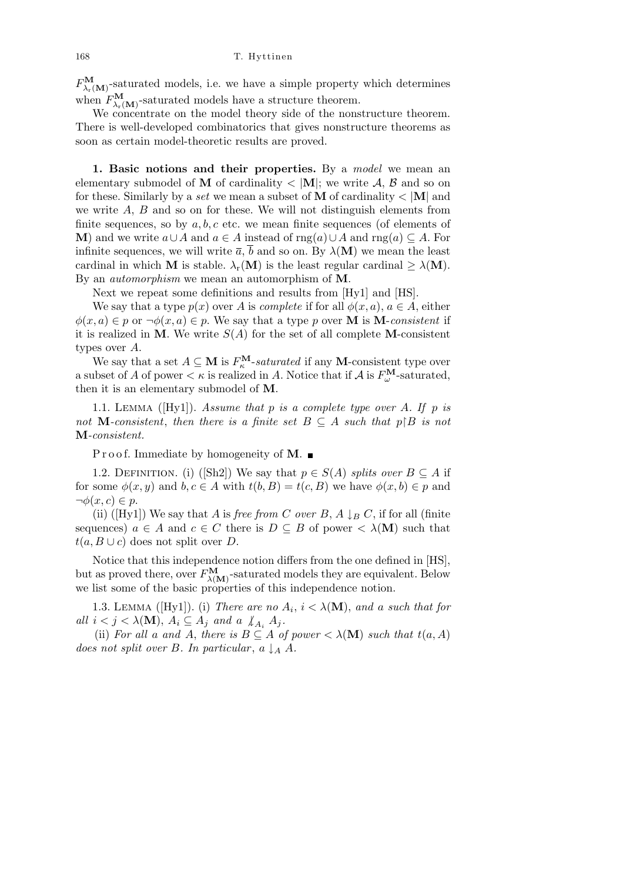$F_{\lambda_r(M)}^{\mathbf{M}}$ -saturated models, i.e. we have a simple property which determines when  $F_{\lambda_r(M)}^{\mathbf{M}}$ -saturated models have a structure theorem.

We concentrate on the model theory side of the nonstructure theorem. There is well-developed combinatorics that gives nonstructure theorems as soon as certain model-theoretic results are proved.

**1. Basic notions and their properties.** By a *model* we mean an elementary submodel of **M** of cardinality  $\langle |M|$ ; we write A, B and so on for these. Similarly by a *set* we mean a subset of **M** of cardinality *< |***M***|* and we write *A*, *B* and so on for these. We will not distinguish elements from finite sequences, so by  $a, b, c$  etc. we mean finite sequences (of elements of **M**) and we write  $a ∪ A$  and  $a ∈ A$  instead of rng( $a) ∪ A$  and rng( $a) ⊆ A$ . For infinite sequences, we will write  $\bar{a}$ ,  $\bar{b}$  and so on. By  $\lambda(\mathbf{M})$  we mean the least cardinal in which **M** is stable.  $\lambda_r(\mathbf{M})$  is the least regular cardinal  $\geq \lambda(\mathbf{M})$ . By an *automorphism* we mean an automorphism of **M**.

Next we repeat some definitions and results from [Hy1] and [HS].

We say that a type  $p(x)$  over *A* is *complete* if for all  $\phi(x, a)$ ,  $a \in A$ , either  $\phi(x, a) \in p$  or  $\neg \phi(x, a) \in p$ . We say that a type *p* over **M** is **M**-*consistent* if it is realized in **M**. We write  $S(A)$  for the set of all complete **M**-consistent types over *A*.

We say that a set  $A \subseteq \mathbf{M}$  is  $F_{\kappa}^{\mathbf{M}}$ -*saturated* if any **M**-consistent type over a subset of *A* of power  $\lt \kappa$  is realized in *A*. Notice that if *A* is  $F^{\mathbf{M}}_{\omega}$ -saturated, then it is an elementary submodel of **M**.

1.1. Lemma ([Hy1]). *Assume that p is a complete type over A. If p is not* **M***-consistent, then there is a finite set*  $B \subseteq A$  *such that*  $p \nvert B$  *is not* **M***-consistent.*

P r o o f. Immediate by homogeneity of **M**.

1.2. DEFINITION. (i) ([Sh2]) We say that  $p \in S(A)$  *splits over*  $B \subseteq A$  if for some  $\phi(x, y)$  and  $b, c \in A$  with  $t(b, B) = t(c, B)$  we have  $\phi(x, b) \in p$  and  $\neg \phi(x, c) \in p$ .

(ii) ([Hy1]) We say that *A* is *free from C over B*, *A*  $\downarrow$ <sub>*B</sub> C*, if for all (finite</sub> sequences)  $a \in A$  and  $c \in C$  there is  $D \subseteq B$  of power  $\langle \lambda | M \rangle$  such that  $t(a, B \cup c)$  does not split over *D*.

Notice that this independence notion differs from the one defined in [HS], but as proved there, over  $F_{\lambda(\mathbf{M})}^{\mathbf{M}}$ -saturated models they are equivalent. Below we list some of the basic properties of this independence notion.

1.3. LEMMA ([Hy1]). (i) *There are no*  $A_i$ ,  $i < \lambda(M)$ , and a such that for *all*  $i < j < \lambda(M)$ ,  $A_i \subseteq A_j$  and  $a \not|_{A_i} A_j$ .

(ii) *For all a and A*, *there is*  $B \subseteq A$  *of power*  $\lt \lambda(M)$  *such that*  $t(a, A)$ *does not split over B. In particular, a*  $\downarrow$ <sup>*A*</sup>*A.*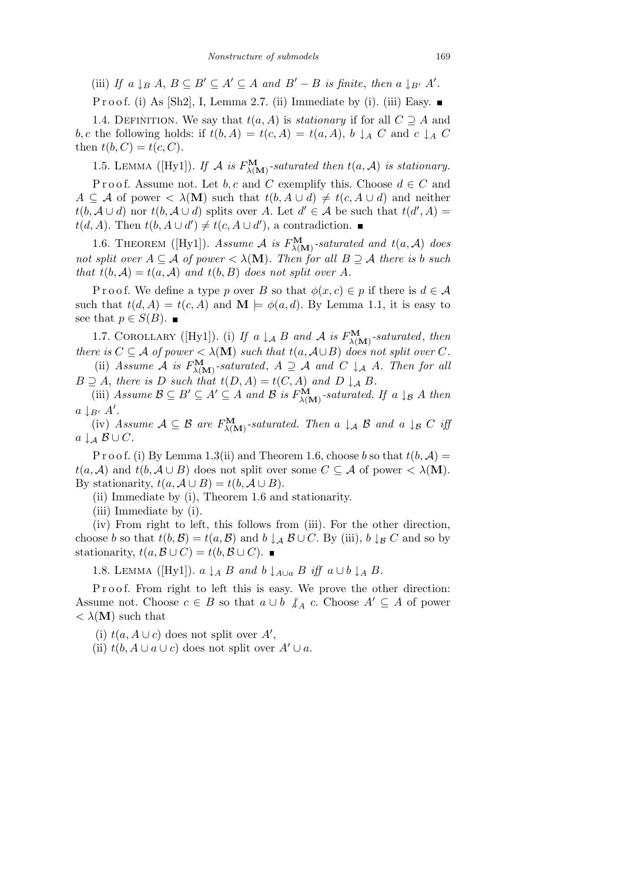(iii) If  $a \downarrow_B A$ ,  $B \subseteq B' \subseteq A' \subseteq A$  and  $B' - B$  is finite, then  $a \downarrow_{B'} A'$ .

P r o o f. (i) As [Sh2], I, Lemma 2.7. (ii) Immediate by (i). (iii) Easy.  $\blacksquare$ 

1.4. DEFINITION. We say that  $t(a, A)$  is *stationary* if for all  $C \supseteq A$  and *b, c* the following holds: if  $t(b, A) = t(c, A) = t(a, A), b \downarrow_A C$  and  $c \downarrow_A C$ then  $t(b, C) = t(c, C)$ .

1.5. LEMMA ([Hy1]). If  $\mathcal A$  is  $F_{\lambda(\mathbf{M})}^{\mathbf{M}}$ -saturated then  $t(a, \mathcal A)$  is stationary.

Proof. Assume not. Let *b*, *c* and *C* exemplify this. Choose  $d \in C$  and  $A \subseteq \mathcal{A}$  of power  $\langle \lambda(\mathbf{M}) \rangle$  such that  $t(b, A \cup d) \neq t(c, A \cup d)$  and neither *t*(*b*, *A*∪ *d*) nor *t*(*b*, *A*∪ *d*) splits over *A*. Let *d*<sup> $\prime$ </sup> ∈ *A* be such that *t*(*d*<sup> $\prime$ </sup>, *A*) =  $t(d, A)$ . Then  $t(b, A \cup d') \neq t(c, A \cup d')$ , a contradiction.

1.6. THEOREM ([Hy1]). *Assume*  $\mathcal{A}$  *is*  $F_{\lambda(\mathbf{M})}^{\mathbf{M}}$ -saturated and  $t(a, \mathcal{A})$  does *not split over*  $A \subseteq \mathcal{A}$  *of power*  $\lt \lambda(\mathbf{M})$ *. Then for all*  $B \supseteq \mathcal{A}$  *there is b such that*  $t(b, \mathcal{A}) = t(a, \mathcal{A})$  *and*  $t(b, B)$  *does not split over A.* 

P r o o f. We define a type *p* over *B* so that  $\phi(x, c) \in p$  if there is  $d \in A$ such that  $t(d, A) = t(c, A)$  and  $\mathbf{M} \models \phi(a, d)$ . By Lemma 1.1, it is easy to see that *p*  $\in$  *S*(*B*). ■

1.7. COROLLARY ([Hy1]). (i) If a  $\downarrow$  A *B* and A is  $F_{\lambda(M)}^{\mathbf{M}}$ -saturated, then *there is*  $C \subseteq A$  *of power*  $\lt \lambda(M)$  *such that*  $t(a, A \cup B)$  *does not split over*  $C$ *.* 

(ii) *Assume A is*  $F_{\lambda(\mathbf{M})}^{\mathbf{M}}$ -saturated,  $A \supseteq A$  *and*  $C \downarrow_{\mathcal{A}} A$ *. Then for all*  $B \supseteq A$ , *there is D such that*  $t(D, A) = t(C, A)$  *and*  $D \downarrow_{A} B$ *.* 

(iii) Assume  $\mathcal{B} \subseteq B' \subseteq A' \subseteq A$  and  $\mathcal{B}$  is  $F_{\lambda(\mathbf{M})}^{\mathbf{M}}$ -saturated. If a  $\downarrow_{\mathcal{B}} A$  then  $a \downarrow_{B'} A'$ .

(iv) *Assume*  $A \subseteq B$  *are*  $F_{\lambda(M)}^{\mathbf{M}}$ -saturated. Then a  $\downarrow_{\mathcal{A}} B$  and a  $\downarrow_{\mathcal{B}} C$  *iff a*  $\downarrow$ <sup>*A*</sup> *B* ∪ *C.* 

P r o o f. (i) By Lemma 1.3(ii) and Theorem 1.6, choose *b* so that  $t(b, A)$  $t(a, \mathcal{A})$  and  $t(b, \mathcal{A} \cup B)$  does not split over some  $C \subseteq \mathcal{A}$  of power  $\langle \lambda(\mathbf{M}) \rangle$ . By stationarity,  $t(a, A \cup B) = t(b, A \cup B)$ .

(ii) Immediate by (i), Theorem 1.6 and stationarity.

(iii) Immediate by (i).

(iv) From right to left, this follows from (iii). For the other direction, choose *b* so that  $t(b, \mathcal{B}) = t(a, \mathcal{B})$  and  $b \downarrow_{\mathcal{A}} \mathcal{B} \cup C$ . By (iii),  $b \downarrow_{\mathcal{B}} C$  and so by stationarity,  $t(a, \mathcal{B} \cup C) = t(b, \mathcal{B} \cup C)$ .

1.8. LEMMA ([Hy1]).  $a \downarrow_A B$  and  $b \downarrow_{A \cup a} B$  *iff*  $a \cup b \downarrow_A B$ .

Proof. From right to left this is easy. We prove the other direction: Assume not. Choose  $c \in B$  so that  $a \cup b \nmid A \subset C$  c. Choose  $A' \subseteq A$  of power  $< \lambda(M)$  such that

(i)  $t(a, A \cup c)$  does not split over  $A'$ ,

(ii)  $t(b, A \cup a \cup c)$  does not split over  $A' \cup a$ .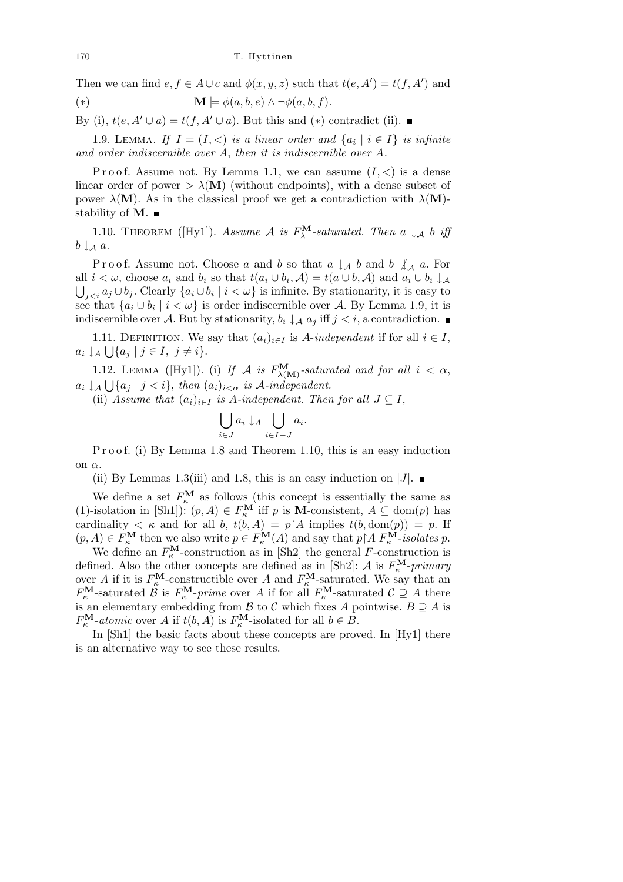Then we can find  $e, f \in A \cup c$  and  $\phi(x, y, z)$  such that  $t(e, A') = t(f, A')$  and

(\*)  

$$
\mathbf{M} \models \phi(a, b, e) \land \neg \phi(a, b, f).
$$

By (i),  $t(e, A' ∪ a) = t(f, A' ∪ a)$ . But this and (\*) contradict (ii). ■

1.9. LEMMA. If  $I = (I, <)$  is a linear order and  $\{a_i \mid i \in I\}$  is infinite *and order indiscernible over A*, *then it is indiscernible over A.*

Proof. Assume not. By Lemma 1.1, we can assume  $(I, \leq)$  is a dense linear order of power  $> \lambda(M)$  (without endpoints), with a dense subset of power  $\lambda(\mathbf{M})$ . As in the classical proof we get a contradiction with  $\lambda(\mathbf{M})$ stability of **M**.

1.10. THEOREM ([Hy1]). *Assume A is*  $F_{\lambda}^{\mathbf{M}}$ -saturated. Then a  $\downarrow$  *A b iff*  $b \downarrow_{\mathcal{A}} a$ .

Proof. Assume not. Choose *a* and *b* so that  $a \downarrow_{\mathcal{A}} b$  and  $b \not\downarrow_{\mathcal{A}} a$ . For all  $i < \omega$ , choose  $a_i$  and  $b_i$  so that  $t(a_i \cup b_i, \mathcal{A}) = t(a \cup b, \mathcal{A})$  and  $a_i \cup b_i \downarrow \mathcal{A}$ *j*  $\lt_i$ *a*<sup>*j*</sup> ∪*b*<sup>*j*</sup>. Clearly  $\{a_i \cup b_i \mid i \lt \omega\}$  is infinite. By stationarity, it is easy to see that  $\{a_i \cup b_i \mid i < \omega\}$  is order indiscernible over A. By Lemma 1.9, it is indiscernible over *A*. But by stationarity, *b<sup>i</sup> ↓<sup>A</sup> a<sup>j</sup>* iff *j < i*, a contradiction.

1.11. DEFINITION. We say that  $(a_i)_{i \in I}$  is *A*-*independent* if for all  $i \in I$ ,  $a_i \downarrow_A \bigcup \{a_j \mid j \in I, j \neq i\}.$ 

1.12. LEMMA ([Hy1]). (i) If A *is*  $F_{\lambda(M)}^{\mathbf{M}}$ -saturated and for all  $i < \alpha$ ,  $a_i \downarrow A \bigcup \{a_j \mid j < i\},\$  *then*  $(a_i)_{i < \alpha}$  *is A-independent.* 

(ii) *Assume that*  $(a_i)_{i \in I}$  *is A-independent. Then for all*  $J \subseteq I$ ,

$$
\bigcup_{i \in J} a_i \downarrow_A \bigcup_{i \in I-J} a_i.
$$

P r o o f. (i) By Lemma 1.8 and Theorem 1.10, this is an easy induction on *α*.

(ii) By Lemmas 1.3(iii) and 1.8, this is an easy induction on  $|J|$ .

We define a set  $F_{\kappa}^{\mathbf{M}}$  as follows (this concept is essentially the same as (1)-isolation in [Sh1]):  $(p, A) \in F_{\kappa}^{\mathbf{M}}$  iff *p* is **M**-consistent,  $A \subseteq \text{dom}(p)$  has cardinality  $\lt \kappa$  and for all *b*,  $t(b, A) = p \upharpoonright A$  implies  $t(b, \text{dom}(p)) = p$ . If  $(p, A) \in F_{\kappa}^{\mathbf{M}}$  then we also write  $p \in F_{\kappa}^{\mathbf{M}}(A)$  and say that  $p \upharpoonright A F_{\kappa}^{\mathbf{M}}$ -isolates p.

We define an  $F_{\kappa}^{\mathbf{M}}$ -construction as in [Sh2] the general *F*-construction is defined. Also the other concepts are defined as in [Sh2]:  $A$  is  $F_{\kappa}^{\mathbf{M}}$ -primary over *A* if it is  $F_{\kappa}^{\mathbf{M}}$ -constructible over *A* and  $F_{\kappa}^{\mathbf{M}}$ -saturated. We say that an *F*<sup>M</sup><sub>*K*</sub></sub> -saturated *B* is  $F_{\kappa}^{\mathbf{M}}$ -*prime* over *A* if for all  $F_{\kappa}^{\mathbf{M}}$ -saturated  $C \supseteq A$  there is an elementary embedding from *B* to *C* which fixes *A* pointwise.  $B \supseteq A$  is *F*<sup>**M**</sup><sub>*K*</sub><sup>*-</sup></sub><i>atomic* over *A* if  $t(b, A)$  is  $F_{\kappa}^{\mathbf{M}}$ -isolated for all  $b \in B$ .</sup>

In [Sh1] the basic facts about these concepts are proved. In [Hy1] there is an alternative way to see these results.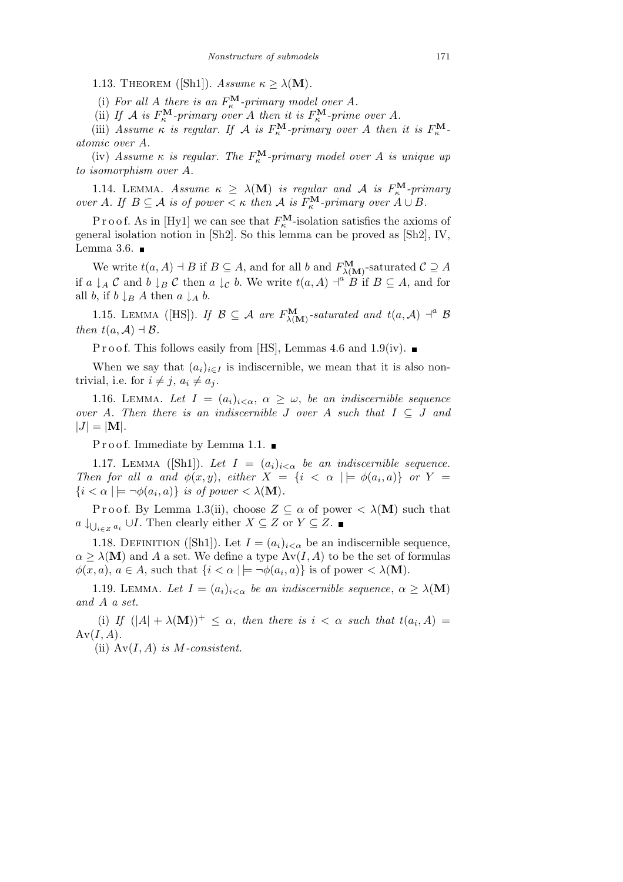1.13. THEOREM ([Sh1]).  $Assume \kappa \geq \lambda(M)$ .

(i) For all *A* there is an  $F_{\kappa}^{\mathbf{M}}$ -primary model over *A*.

(ii) If  $A$  is  $F_{\kappa}^{\mathbf{M}}$ -primary over  $A$  then it is  $F_{\kappa}^{\mathbf{M}}$ -prime over  $A$ .

(iii) *Assume*  $\kappa$  *is regular. If*  $\mathcal{A}$  *is*  $F_{\kappa}^{\mathbf{M}}$ *-primary over A then it is*  $F_{\kappa}^{\mathbf{M}}$ *atomic over A.*

(iv) *Assume κ is regular. The F***<sup>M</sup>***<sup>κ</sup> -primary model over A is unique up to isomorphism over A.*

1.14. LEMMA. Assume  $\kappa \geq \lambda(M)$  is regular and A is  $F_{\kappa}^{\mathbf{M}}$ -primary *over A.* If  $B \subseteq A$  *is of power*  $\lt \kappa$  *then A is*  $F_{\kappa}^{\mathbf{M}}$ *-primary over*  $A \cup B$ *.* 

P r o o f. As in [Hy1] we can see that  $F_{\kappa}^{\mathbf{M}}$ -isolation satisfies the axioms of general isolation notion in [Sh2]. So this lemma can be proved as [Sh2], IV, Lemma 3.6.  $\blacksquare$ 

We write  $t(a, A) \dashv B$  if  $B \subseteq A$ , and for all *b* and  $F_{\lambda(M)}^{\mathbf{M}}$ -saturated  $C \supseteq A$ if *a*  $\downarrow$ <sub>A</sub> *C* and *b*  $\downarrow$ <sub>B</sub> *C* then *a*  $\downarrow$ <sub>C</sub> *b*. We write  $t(a, A) \dashv$ <sup>*a*</sup> *B* if  $B \subseteq A$ , and for all *b*, if  $b \downarrow_B A$  then  $a \downarrow_A b$ .

1.15. LEMMA ([HS]). *If*  $\mathcal{B} \subseteq \mathcal{A}$  *are*  $F_{\lambda(M)}^{\mathbf{M}}$ -saturated and  $t(a, \mathcal{A})$   $\dashv^a \mathcal{B}$ *then*  $t(a, \mathcal{A}) \dashv \mathcal{B}$ *.* 

P r o o f. This follows easily from [HS], Lemmas 4.6 and 1.9(iv).

When we say that  $(a_i)_{i \in I}$  is indiscernible, we mean that it is also nontrivial, i.e. for  $i \neq j$ ,  $a_i \neq a_j$ .

1.16. LEMMA. Let  $I = (a_i)_{i < \alpha}, \alpha \geq \omega$ , be an indiscernible sequence *over A. Then there is an indiscernible J over A such that*  $I \subseteq J$  *and*  $|J| = |M|$ *.* 

Proof. Immediate by Lemma 1.1.  $\blacksquare$ 

1.17. LEMMA ([Sh1]). Let  $I = (a_i)_{i < \alpha}$  be an indiscernible sequence. *Then for all a and*  $\phi(x, y)$ , *either*  $X = \{i \le \alpha \mid \models \phi(a_i, a)\}$  *or*  $Y =$  $\{i < \alpha \mid \models \neg \phi(a_i, a)\}$  *is of power*  $< \lambda(M)$ *.* 

Proof. By Lemma 1.3(ii), choose  $Z \subseteq \alpha$  of power  $\langle \lambda(\mathbf{M}) \rangle$  such that *a* ↓ $\bigcup_{i \in \mathbb{Z}} a_i$  ∪*I*. Then clearly either  $X \subseteq Z$  or  $Y \subseteq Z$ .

1.18. DEFINITION ([Sh1]). Let  $I = (a_i)_{i < \alpha}$  be an indiscernible sequence,  $\alpha \geq \lambda(M)$  and *A* a set. We define a type  $Av(I, A)$  to be the set of formulas  $\phi(x, a), a \in A$ , such that  $\{i < \alpha \mid \models \neg \phi(a_i, a)\}$  is of power  $< \lambda(M)$ .

1.19. LEMMA. Let  $I = (a_i)_{i < \alpha}$  be an indiscernible sequence,  $\alpha \geq \lambda(M)$ *and A a set.*

(i) If  $(|A| + \lambda(M))^+ \leq \alpha$ , then there is  $i < \alpha$  such that  $t(a_i, A) =$  $Av(I, A)$ .

(ii) Av(*I, A*) *is M-consistent.*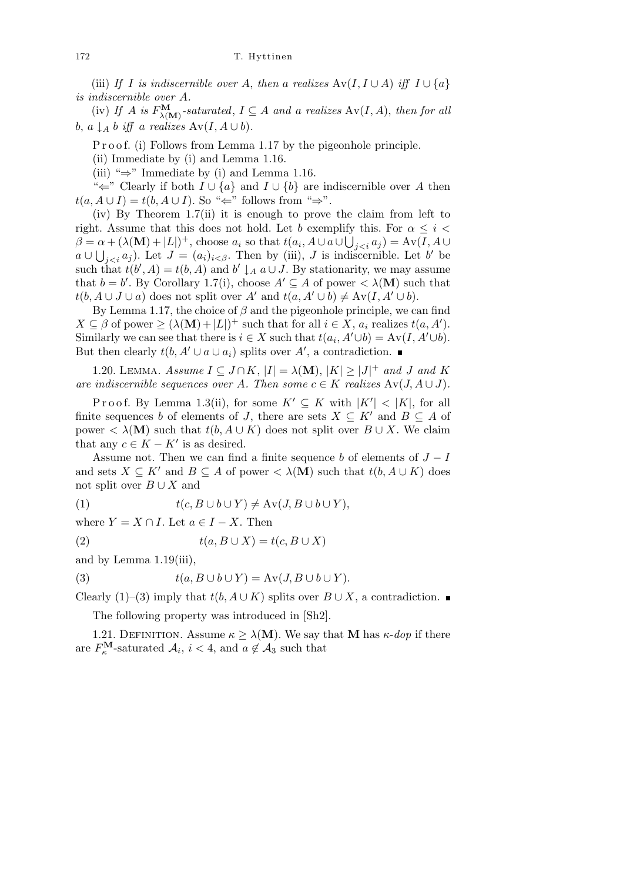(iii) *If I is indiscernible over A*, *then a realizes*  $Av(I, I \cup A)$  *iff*  $I \cup \{a\}$ *is indiscernible over A.*

(iv) If *A* is  $F_{\lambda(M)}^{\mathbf{M}}$ -saturated,  $I \subseteq A$  and a realizes  $Av(I, A)$ , then for all *b*, *a*  $\downarrow$ *A b iff a realizes* Av(*I, A* ∪ *b*).

P r o o f. (i) Follows from Lemma 1.17 by the pigeonhole principle.

(ii) Immediate by (i) and Lemma 1.16.

(iii) "*⇒*" Immediate by (i) and Lemma 1.16.

"<sup> $\leftarrow$ </sup>" Clearly if both *I* ∪ {*a*} and *I* ∪ {*b*} are indiscernible over *A* then  $t(a, A \cup I) = t(b, A \cup I)$ . So " $\Leftarrow$ " follows from " $\Rightarrow$ ".

(iv) By Theorem 1.7(ii) it is enough to prove the claim from left to right. Assume that this does not hold. Let *b* exemplify this. For  $\alpha \leq i < \alpha$  $\beta = \alpha + (\lambda(M) + |L|)^{+}$ , choose  $a_i$  so that  $t(a_i, A \cup a \cup \bigcup_{j$  $a \cup \bigcup_{j < i} a_j$ ). Let  $J = (a_i)_{i \leq \beta}$ . Then by (iii), *J* is indiscernible. Let *b*' be such that  $t(b', A) = t(b, A)$  and  $b' \downarrow_A a \cup J$ . By stationarity, we may assume that  $b = b'$ . By Corollary 1.7(i), choose  $A' \subseteq A$  of power  $\langle \lambda(\mathbf{M}) \rangle$  such that  $t(b, A \cup J \cup a)$  does not split over *A'* and  $t(a, A' \cup b) \neq Av(I, A' \cup b)$ .

By Lemma 1.17, the choice of  $\beta$  and the pigeonhole principle, we can find  $X \subseteq \beta$  of power  $\geq (\lambda(\mathbf{M}) + |L|)^+$  such that for all  $i \in X$ ,  $a_i$  realizes  $t(a, A')$ . Similarly we can see that there is  $i \in X$  such that  $t(a_i, A' \cup b) = Av(I, A' \cup b)$ . But then clearly  $t(b, A' \cup a \cup a_i)$  splits over  $A'$ , a contradiction.

1.20. LEMMA. *Assume*  $I \subseteq J \cap K$ ,  $|I| = \lambda(M)$ ,  $|K| \geq |J|^+$  *and J and K are indiscernible sequences over <i>A. Then some*  $c \in K$  *realizes*  $Av(J, A \cup J)$ *.* 

Proof. By Lemma 1.3(ii), for some  $K' \subseteq K$  with  $|K'| < |K|$ , for all finite sequences *b* of elements of *J*, there are sets  $X \subseteq K'$  and  $B \subseteq A$  of power  $\langle \lambda(\mathbf{M}) \rangle$  such that  $t(b, A \cup K)$  does not split over  $B \cup X$ . We claim that any  $c \in K - K'$  is as desired.

Assume not. Then we can find a finite sequence *b* of elements of *J − I* and sets  $X \subseteq K'$  and  $B \subseteq A$  of power  $\langle \lambda(\mathbf{M}) \rangle$  such that  $t(b, A \cup K)$  does not split over  $B \cup X$  and

(1) 
$$
t(c, B \cup b \cup Y) \neq Av(J, B \cup b \cup Y),
$$

where  $Y = X \cap I$ . Let  $a \in I - X$ . Then

$$
(2) \t t(a, B \cup X) = t(c, B \cup X)
$$

and by Lemma 1.19(iii),

(3) 
$$
t(a, B \cup b \cup Y) = Av(J, B \cup b \cup Y).
$$

Clearly (1)–(3) imply that  $t(b, A ∪ K)$  splits over  $B ∪ X$ , a contradiction. ■

The following property was introduced in [Sh2].

1.21. DEFINITION. Assume  $\kappa \geq \lambda(M)$ . We say that **M** has  $\kappa$ -*dop* if there are  $F_{\kappa}^{\mathbf{M}}$ -saturated  $\mathcal{A}_i$ ,  $i < 4$ , and  $a \notin \mathcal{A}_3$  such that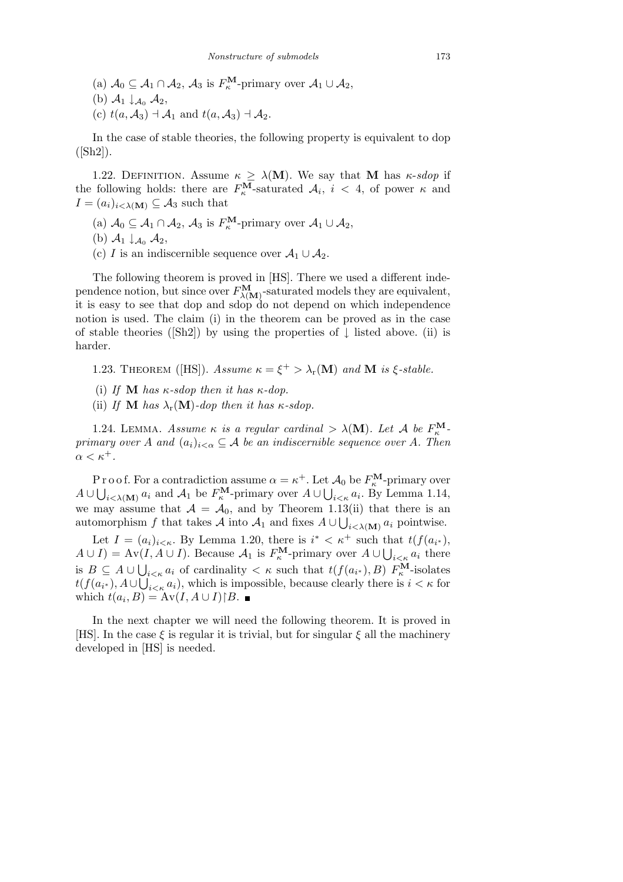- (a)  $A_0 \subseteq A_1 \cap A_2$ ,  $A_3$  is  $F_{\kappa}^{\mathbf{M}}$ -primary over  $A_1 \cup A_2$ ,
- (b)  $\mathcal{A}_1 \downarrow_{\mathcal{A}_0} \mathcal{A}_2$
- (c)  $t(a, \mathcal{A}_3)$   $\vdash \mathcal{A}_1$  and  $t(a, \mathcal{A}_3)$   $\vdash \mathcal{A}_2$ .

In the case of stable theories, the following property is equivalent to dop  $([Sh2]).$ 

1.22. DEFINITION. Assume  $\kappa \geq \lambda(M)$ . We say that **M** has *κ*-*sdop* if the following holds: there are  $F_{\kappa}^{\mathbf{M}}$ -saturated  $A_i$ ,  $i < 4$ , of power  $\kappa$  and  $I = (a_i)_{i \leq \lambda(M)} \subseteq A_3$  such that

- (a)  $A_0 \subseteq A_1 \cap A_2$ ,  $A_3$  is  $F_{\kappa}^{\mathbf{M}}$ -primary over  $A_1 \cup A_2$ ,
- (b)  $\mathcal{A}_1 \downarrow_{\mathcal{A}_0} \mathcal{A}_2$
- (c) *I* is an indiscernible sequence over  $A_1 \cup A_2$ .

The following theorem is proved in [HS]. There we used a different independence notion, but since over  $F_{\lambda(M)}^{\mathbf{M}}$ -saturated models they are equivalent, it is easy to see that dop and sdop do not depend on which independence notion is used. The claim (i) in the theorem can be proved as in the case of stable theories ([Sh2]) by using the properties of *↓* listed above. (ii) is harder.

1.23. THEOREM ([HS]). *Assume*  $\kappa = \xi^+ > \lambda_r(M)$  *and* **M** *is*  $\xi$ -stable.

- (i) If **M** has  $\kappa$ -sdop then it has  $\kappa$ -dop.
- (ii) If **M** has  $\lambda_r(\mathbf{M})$ -dop then it has  $\kappa$ -sdop.

1.24. LEMMA. Assume  $\kappa$  *is a regular cardinal*  $> \lambda(M)$ *. Let*  $\mathcal{A}$  *be*  $F_{\kappa}^{\mathbf{M}}$ *primary over A* and  $(a_i)_{i < \alpha} \subseteq A$  *be an indiscernible sequence over A. Then*  $\alpha < \kappa^+$ .

P r o o f. For a contradiction assume  $\alpha = \kappa^+$ . Let  $\mathcal{A}_0$  be  $F_{\kappa}^{\mathbf{M}}$ -primary over  $A \cup \bigcup_{i < \lambda(M)} a_i$  and  $A_1$  be  $F_{\kappa}^{\mathbf{M}}$ -primary over  $A \cup \bigcup_{i < \kappa} a_i$ . By Lemma 1.14, we may assume that  $A = A_0$ , and by Theorem 1.13(ii) that there is an automorphism *f* that takes *A* into  $A_1$  and fixes  $A \cup \bigcup_{i < \lambda(M)} a_i$  pointwise.

Let  $I = (a_i)_{i \leq \kappa}$ . By Lemma 1.20, there is  $i^* \leq \kappa^+$  such that  $t(f(a_{i^*}),$  $A \cup I$  = Av(*I*,  $A \cup I$ ). Because  $A_1$  is  $F_{\kappa}^{\mathbf{M}}$ -primary over  $A \cup \bigcup_{i \leq \kappa} a_i$  there is *B ⊆ A ∪*  $\mathcal{L}$ *i*  $\lt \kappa$  such that *t*(*f*(*a*<sub>*i*</sub><sup>*i*</sup>), *B*) *F*<sup>M</sup><sub>*k*</sub></sub>-isolates *t*(*f*(*a<sup>i</sup> <sup>∗</sup>* )*, A ∪* ېب  $i<\kappa$  *a*<sub>*i*</sub>), which is impossible, because clearly there is  $i<\kappa$  for which  $t(a_i, B) = Av(I, A \cup I) \upharpoonright B$ .

In the next chapter we will need the following theorem. It is proved in [HS]. In the case  $\xi$  is regular it is trivial, but for singular  $\xi$  all the machinery developed in [HS] is needed.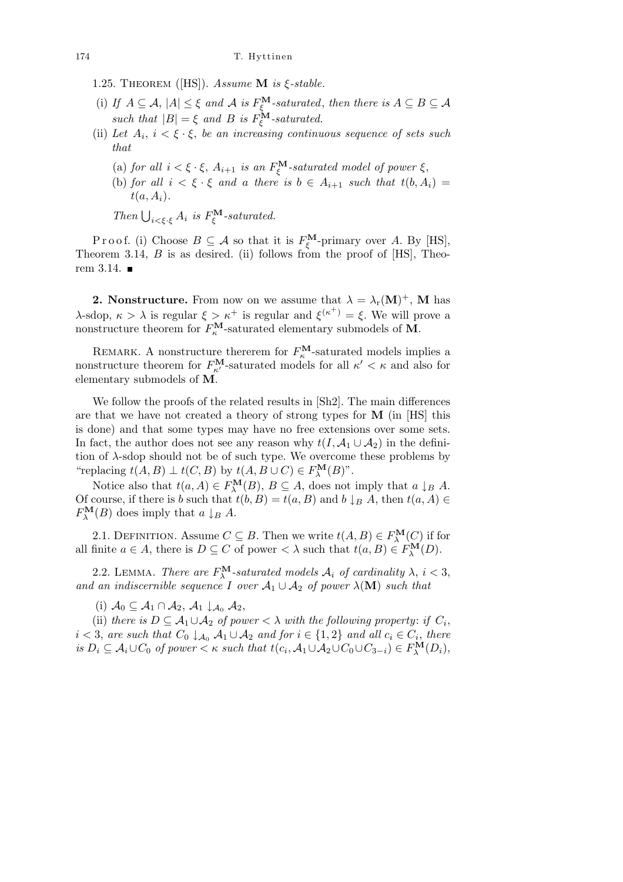1.25. THEOREM ([HS]).  $Assume \mathbf{M}$  *is*  $\xi$ -stable.

- (i) If  $A \subseteq \mathcal{A}$ ,  $|A| \leq \xi$  and  $\mathcal{A}$  is  $F_{\xi}^{\mathbf{M}}$ -saturated, then there is  $A \subseteq B \subseteq \mathcal{A}$ *such that*  $|B| = \xi$  *and B is*  $F_{\xi}^{\mathbf{M}}$ -*saturated.*
- (ii) Let  $A_i$ ,  $i < \xi \cdot \xi$ , be an increasing continuous sequence of sets such *that*
	- (a) *for all*  $i < \xi \cdot \xi$ ,  $A_{i+1}$  *is an*  $F_{\xi}^{\mathbf{M}}$ -saturated model of power  $\xi$ ,
	- (b) *for all*  $i < \xi \cdot \xi$  *and a there is*  $b \in A_{i+1}$  *such that*  $t(b, A_i) =$ *t*(*a, Ai*)*.*

*Then*  $\bigcup_{i < \xi \cdot \xi} A_i$  *is*  $F_{\xi}^{\mathbf{M}}$ -saturated.

Proof. (i) Choose  $B \subseteq \mathcal{A}$  so that it is  $F_{\xi}^{\mathbf{M}}$ -primary over *A*. By [HS], Theorem 3.14, *B* is as desired. (ii) follows from the proof of [HS], Theorem 3.14.  $\blacksquare$ 

**2. Nonstructure.** From now on we assume that  $\lambda = \lambda_r(M)^+$ , **M** has *λ*-sdop,  $\kappa > \lambda$  is regular  $\xi > \kappa^+$  is regular and  $\xi^{(\kappa^+)} = \xi$ . We will prove a nonstructure theorem for  $F_{\kappa}^{\mathbf{M}}$ -saturated elementary submodels of **M**.

REMARK. A nonstructure thererem for  $F_{\kappa}^{\mathbf{M}}$ -saturated models implies a nonstructure theorem for  $F_{\kappa'}^{\mathbf{M}}$ -saturated models for all  $\kappa' < \kappa$  and also for elementary submodels of **M**.

We follow the proofs of the related results in [Sh2]. The main differences are that we have not created a theory of strong types for **M** (in [HS] this is done) and that some types may have no free extensions over some sets. In fact, the author does not see any reason why  $t(I, \mathcal{A}_1 \cup \mathcal{A}_2)$  in the definition of *λ*-sdop should not be of such type. We overcome these problems by "replacing  $t(A, B) \perp t(C, B)$  by  $t(A, B \cup C) \in F_{\lambda}^{\mathbf{M}}(B)$ ".

Notice also that  $t(a, A) \in F_{\lambda}^{\mathbf{M}}(B)$ ,  $B \subseteq A$ , does not imply that  $a \downarrow_B A$ . Of course, if there is *b* such that  $t(b, B) = t(a, B)$  and  $b \downarrow_B A$ , then  $t(a, A) \in$  $F_{\lambda}^{\mathbf{M}}(B)$  does imply that  $a \downarrow_{B} A$ .

2.1. DEFINITION. Assume  $C \subseteq B$ . Then we write  $t(A, B) \in F_{\lambda}^{\mathbf{M}}(C)$  if for all finite  $a \in A$ , there is  $D \subseteq C$  of power  $\langle \lambda \rangle$  such that  $t(a, B) \in F_{\lambda}^{\mathbf{M}}(D)$ .

2.2. LEMMA. *There are*  $F_{\lambda}^{\mathbf{M}}$ -saturated models  $A_i$  of cardinality  $\lambda$ ,  $i < 3$ , *and an indiscernible sequence I over*  $A_1 \cup A_2$  *of power*  $\lambda(M)$  *such that* 

(i)  $A_0 \subseteq A_1 \cap A_2, A_1 \downarrow_{A_0} A_2,$ 

(ii) *there is*  $D \subseteq A_1 \cup A_2$  *of power*  $\lt \lambda$  *with the following property: if*  $C_i$ ,  $i < 3$ , are such that  $C_0 \downarrow_{\mathcal{A}_0} \mathcal{A}_1 \cup \mathcal{A}_2$  and for  $i \in \{1,2\}$  and all  $c_i \in C_i$ , there is  $D_i \subseteq A_i \cup C_0$  of power  $\lt \kappa$  such that  $t(c_i, A_1 \cup A_2 \cup C_0 \cup C_{3-i}) \in F_\lambda^{\mathbf{M}}(D_i)$ ,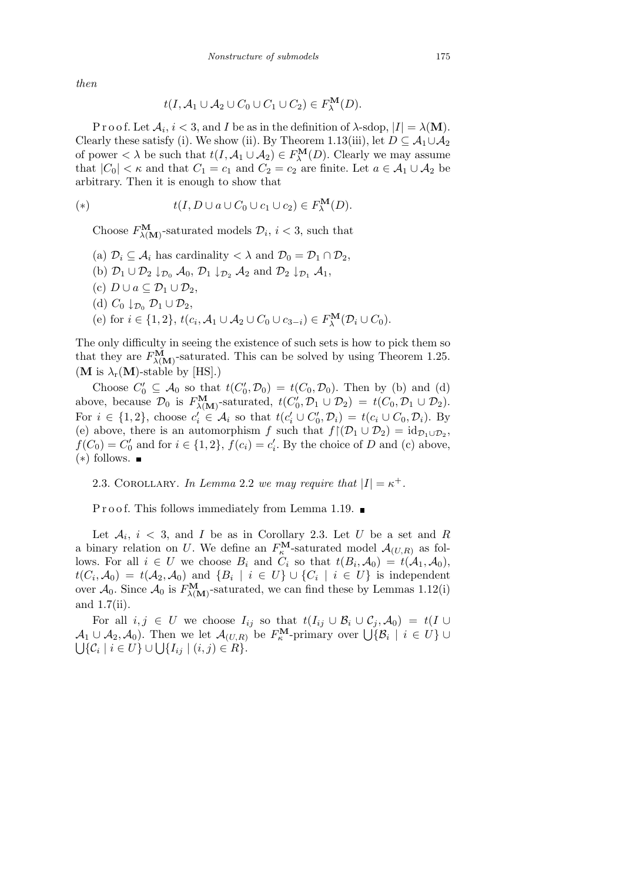*then*

$$
t(I, \mathcal{A}_1 \cup \mathcal{A}_2 \cup C_0 \cup C_1 \cup C_2) \in F_{\lambda}^{\mathbf{M}}(D).
$$

Proof. Let  $A_i$ ,  $i < 3$ , and *I* be as in the definition of  $\lambda$ -sdop,  $|I| = \lambda(M)$ . Clearly these satisfy (i). We show (ii). By Theorem 1.13(iii), let  $D \subseteq A_1 \cup A_2$ of power  $\langle \lambda \rangle$  be such that  $t(I, \mathcal{A}_1 \cup \mathcal{A}_2) \in F_{\lambda}^{\mathbf{M}}(D)$ . Clearly we may assume that  $|C_0| < \kappa$  and that  $C_1 = c_1$  and  $C_2 = c_2$  are finite. Let  $a \in A_1 \cup A_2$  be arbitrary. Then it is enough to show that

(\*) 
$$
t(I, D \cup a \cup C_0 \cup c_1 \cup c_2) \in F_{\lambda}^{\mathbf{M}}(D).
$$

Choose  $F_{\lambda(\mathbf{M})}^{\mathbf{M}}$ -saturated models  $\mathcal{D}_i$ ,  $i < 3$ , such that

- (a)  $\mathcal{D}_i \subseteq \mathcal{A}_i$  has cardinality  $\langle \lambda \rangle$  and  $\mathcal{D}_0 = \mathcal{D}_1 \cap \mathcal{D}_2$ ,
- (b)  $\mathcal{D}_1 \cup \mathcal{D}_2 \downarrow_{\mathcal{D}_0} \mathcal{A}_0$ ,  $\mathcal{D}_1 \downarrow_{\mathcal{D}_2} \mathcal{A}_2$  and  $\mathcal{D}_2 \downarrow_{\mathcal{D}_1} \mathcal{A}_1$ ,
- (c)  $D ∪ a ⊆ D<sub>1</sub> ∪ D<sub>2</sub>$ ,
- (d)  $C_0 \downarrow_{\mathcal{D}_0} \mathcal{D}_1 \cup \mathcal{D}_2$
- (e) for  $i \in \{1, 2\}$ ,  $t(c_i, A_1 \cup A_2 \cup C_0 \cup c_{3-i}) \in F_{\lambda}^{\mathbf{M}}(\mathcal{D}_i \cup C_0)$ .

The only difficulty in seeing the existence of such sets is how to pick them so that they are  $F_{\lambda(M)}^{\mathbf{M}}$ -saturated. This can be solved by using Theorem 1.25. (**M** is  $\lambda_r(M)$ -stable by [HS].)

Choose  $C'_0 \subseteq A_0$  so that  $t(C'_0, \mathcal{D}_0) = t(C_0, \mathcal{D}_0)$ . Then by (b) and (d) above, because  $\mathcal{D}_0$  is  $F_{\lambda(\mathbf{M})}^{\mathbf{M}}$ -saturated,  $t(C'_0, \mathcal{D}_1 \cup \mathcal{D}_2) = t(C_0, \mathcal{D}_1 \cup \mathcal{D}_2)$ . For  $i \in \{1,2\}$ , choose  $c_i' \in \mathcal{A}_i$  so that  $t(c_i' \cup C_0', \mathcal{D}_i) = t(c_i \cup C_0, \mathcal{D}_i)$ . By (e) above, there is an automorphism *f* such that  $f \mid (\mathcal{D}_1 \cup \mathcal{D}_2) = id_{\mathcal{D}_1 \cup \mathcal{D}_2}$ ,  $f(C_0) = C'_0$  and for  $i \in \{1, 2\}$ ,  $f(c_i) = c'_i$ . By the choice of *D* and (c) above, (*∗*) follows.

2.3. COROLLARY. *In Lemma* 2.2 *we may require that*  $|I| = \kappa^+$ .

Proof. This follows immediately from Lemma 1.19.  $\blacksquare$ 

Let  $A_i$ ,  $i < 3$ , and *I* be as in Corollary 2.3. Let *U* be a set and *R* a binary relation on *U*. We define an  $F_{\kappa}^{\mathbf{M}}$ -saturated model  $\mathcal{A}_{(U,R)}$  as follows. For all  $i \in U$  we choose  $B_i$  and  $C_i$  so that  $t(B_i, A_0) = t(A_1, A_0)$ ,  $t(C_i,\mathcal{A}_0) = t(\mathcal{A}_2,\mathcal{A}_0)$  and  $\{B_i \mid i \in U\} \cup \{C_i \mid i \in U\}$  is independent over  $\mathcal{A}_0$ . Since  $\mathcal{A}_0$  is  $F_{\lambda(M)}^{\mathbf{M}}$ -saturated, we can find these by Lemmas 1.12(i) and 1.7(ii).

For all  $i, j \in U$  we choose  $I_{ij}$  so that  $t(I_{ij} \cup B_i \cup C_j, A_0) = t(I \cup$ *A*<sub>1</sub> ∪ *A*<sub>2</sub>, *A*<sub>0</sub>). Then we let  $\mathcal{A}_{(U,R)}$  be  $F_{\kappa}^{\mathbf{M}}$ -primary over  $\bigcup \{\mathcal{B}_i \mid i \in U\}$  ∪ *f*  $\{C_i \mid i \in U\}$  ∪  $\bigcup \{I_{ij} \mid (i,j) \in R\}.$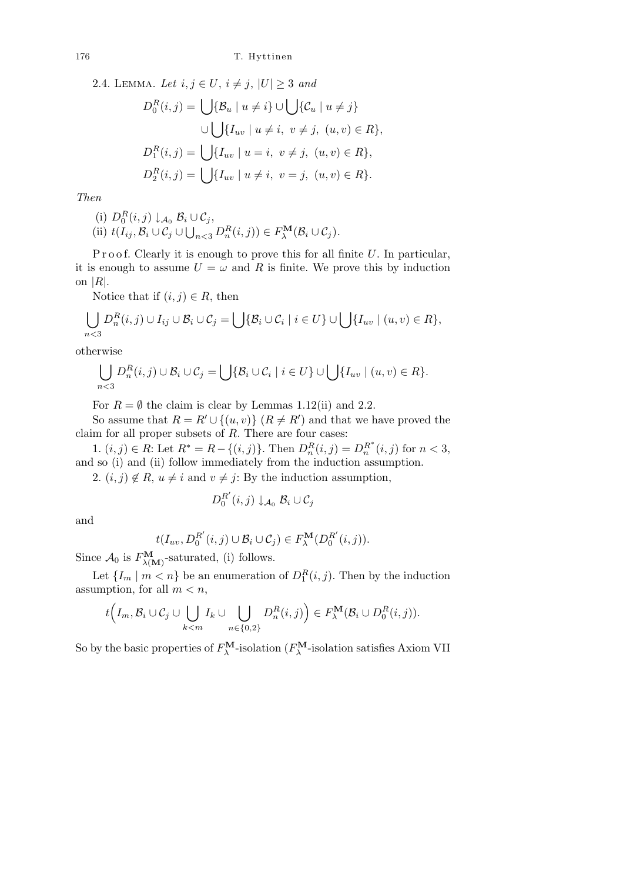2.4. LEMMA. Let  $i, j \in U, i \neq j, |U| \geq 3$  and  $D_0^R(i,j) = \bigcup \{ \mathcal{B}_u \mid u \neq i \} \cup \bigcup \{ \mathcal{C}_u \mid u \neq j \}$ *∪*  $\mathbb{Z}$  ${I_{uv} \mid u \neq i, v \neq j, (u, v) \in R}$  $D_1^R(i,j) = \bigcup \{ I_{uv} \mid u = i, v \neq j, (u, v) \in R \},$  $D_2^R(i,j) = \bigcup \{ I_{uv} \mid u \neq i, v = j, (u, v) \in R \}.$ 

*Then*

(i)  $D_0^R(i,j) \downarrow_{\mathcal{A}_0} \mathcal{B}_i \cup \mathcal{C}_j$ ,  $(iii)$  *t*( $I_{ij}$ ,  $B_i$  ∪  $C_j$  ∪  $\bigcup_{n < 3} D_n^R(i,j)) \in F_{\lambda}^{\mathbf{M}}(\mathcal{B}_i \cup \mathcal{C}_j).$ 

P r o o f. Clearly it is enough to prove this for all finite U. In particular, it is enough to assume  $U = \omega$  and R is finite. We prove this by induction on  $|R|$ .

Notice that if  $(i, j) \in R$ , then

$$
\bigcup_{n<3} D_n^R(i,j) \cup I_{ij} \cup \mathcal{B}_i \cup \mathcal{C}_j = \bigcup \{ \mathcal{B}_i \cup \mathcal{C}_i \mid i \in U \} \cup \bigcup \{ I_{uv} \mid (u,v) \in R \},\
$$

otherwise

$$
\bigcup_{n<3} D_n^R(i,j) \cup \mathcal{B}_i \cup \mathcal{C}_j = \bigcup \{ \mathcal{B}_i \cup \mathcal{C}_i \mid i \in U \} \cup \bigcup \{ I_{uv} \mid (u,v) \in R \}.
$$

For  $R = \emptyset$  the claim is clear by Lemmas 1.12(ii) and 2.2.

So assume that  $R = R' \cup \{(u, v)\}\ (R \neq R')$  and that we have proved the claim for all proper subsets of *R*. There are four cases:

1.  $(i, j) \in R$ : Let  $R^* = R - \{(i, j)\}$ . Then  $D_n^R(i, j) = D_n^{R^*}(i, j)$  for  $n < 3$ , and so (i) and (ii) follow immediately from the induction assumption.

2.  $(i, j) \notin R$ ,  $u \neq i$  and  $v \neq j$ : By the induction assumption,

$$
D_0^{R'}(i,j) \downarrow_{\mathcal{A}_0} \mathcal{B}_i \cup \mathcal{C}_j
$$

and

$$
t(I_{uv}, D_0^{R'}(i,j) \cup B_i \cup C_j) \in F_{\lambda}^{\mathbf{M}}(D_0^{R'}(i,j)).
$$

Since  $\mathcal{A}_0$  is  $F_{\lambda(\mathbf{M})}^{\mathbf{M}}$ -saturated, (i) follows.

Let  $\{I_m \mid m < n\}$  be an enumeration of  $D_1^R(i,j)$ . Then by the induction assumption, for all *m < n*,

$$
t(I_m, \mathcal{B}_i \cup \mathcal{C}_j \cup \bigcup_{k < m} I_k \cup \bigcup_{n \in \{0,2\}} D_n^R(i,j) \big) \in F_{\lambda}^{\mathbf{M}}(\mathcal{B}_i \cup D_0^R(i,j)).
$$

So by the basic properties of  $F_{\lambda}^{\mathbf{M}}$ -isolation ( $F_{\lambda}^{\mathbf{M}}$ -isolation satisfies Axiom VII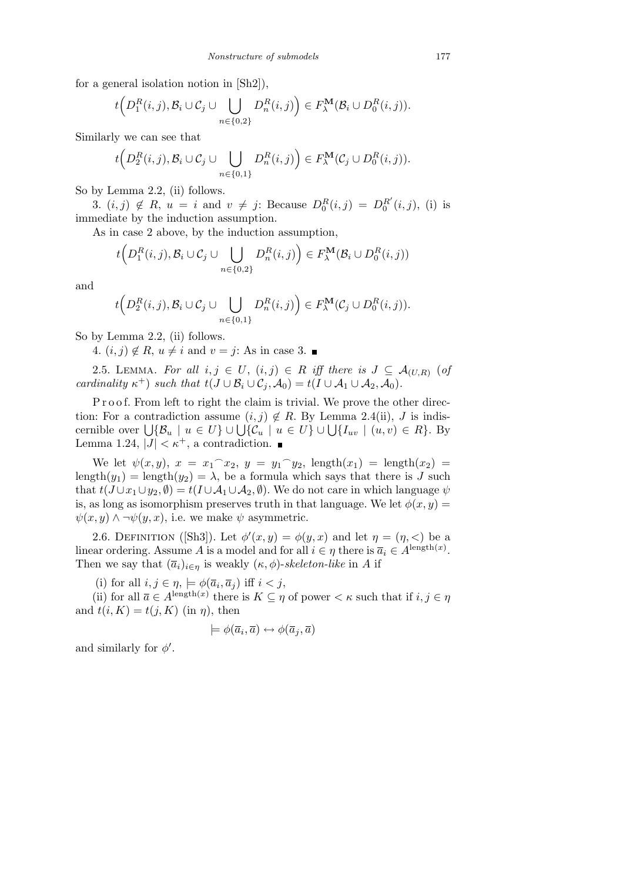for a general isolation notion in [Sh2]),

$$
t\left(D_1^R(i,j),\mathcal{B}_i\cup\mathcal{C}_j\cup\bigcup_{n\in\{0,2\}}D_n^R(i,j)\right)\in F_{\lambda}^{\mathbf{M}}(\mathcal{B}_i\cup D_0^R(i,j)).
$$

Similarly we can see that  $\overline{\phantom{a}}$ 

$$
t\left(D_2^R(i,j),\mathcal{B}_i\cup\mathcal{C}_j\cup\bigcup_{n\in\{0,1\}}D_n^R(i,j)\right)\in F_{\lambda}^{\mathbf{M}}(\mathcal{C}_j\cup D_0^R(i,j)).
$$

So by Lemma 2.2, (ii) follows.

3.  $(i, j) \notin R$ ,  $u = i$  and  $v \neq j$ : Because  $D_0^R(i, j) = D_0^{R'}$  $_{0}^{R'}(i,j)$ , (i) is immediate by the induction assumption.

As in case 2 above, by the induction assumption,  $\frac{1}{2}$ 

$$
t(D_1^R(i,j), \mathcal{B}_i \cup \mathcal{C}_j \cup \bigcup_{n \in \{0,2\}} D_n^R(i,j)\big) \in F_{\lambda}^{\mathbf{M}}(\mathcal{B}_i \cup D_0^R(i,j))
$$

and

$$
t\Big(D_2^R(i,j),\mathcal{B}_i\cup\mathcal{C}_j\cup\bigcup_{n\in\{0,1\}}D_n^R(i,j)\Big)\in F_\lambda^{\mathbf{M}}(\mathcal{C}_j\cup D_0^R(i,j)).
$$

So by Lemma 2.2, (ii) follows.

4.  $(i, j) \notin R$ ,  $u \neq i$  and  $v = j$ : As in case 3. ■

2.5. LEMMA. For all  $i, j \in U$ ,  $(i, j) \in R$  iff there is  $J \subseteq \mathcal{A}_{(U,R)}$  (of *cardinality*  $\kappa^+$ ) *such that*  $t(J \cup \mathcal{B}_i \cup \mathcal{C}_j, \mathcal{A}_0) = t(I \cup \mathcal{A}_1 \cup \mathcal{A}_2, \mathcal{A}_0)$ .

P r o o f. From left to right the claim is trivial. We prove the other direction: For a contradiction assume  $(i, j) \notin R$ . By Lemma 2.4(ii), *J* is indiscon: For a contradiction assume  $(i, j) \notin R$ . By Lemma 2.4(ii), J is mus-<br>cernible over  $\bigcup \{ \mathcal{B}_u \mid u \in U \} \cup \bigcup \{ \mathcal{C}_u \mid u \in U \} \cup \bigcup \{ I_{uv} \mid (u, v) \in R \}$ . By Lemma 1.24,  $|J| < \kappa^+$ , a contradiction. ■

We let  $\psi(x, y)$ ,  $x = x_1^x x_2$ ,  $y = y_1^y x_2$ , length $(x_1) = \text{length}(x_2) =$ length $(y_1)$  = length $(y_2)$  =  $\lambda$ , be a formula which says that there is *J* such that  $t(J \cup x_1 \cup y_2, \emptyset) = t(I \cup A_1 \cup A_2, \emptyset)$ . We do not care in which language  $\psi$ is, as long as isomorphism preserves truth in that language. We let  $\phi(x, y) =$  $\psi(x, y) \wedge \neg \psi(y, x)$ , i.e. we make  $\psi$  asymmetric.

2.6. DEFINITION ([Sh3]). Let  $\phi'(x, y) = \phi(y, x)$  and let  $\eta = (\eta, \langle)$  be a linear ordering. Assume *A* is a model and for all  $i \in \eta$  there is  $\overline{a}_i \in A^{\text{length}(x)}$ . Then we say that  $(\overline{a}_i)_{i \in \eta}$  is weakly  $(\kappa, \phi)$ -skeleton-like in A if

(i) for all  $i, j \in \eta$ ,  $\models \phi(\overline{a}_i, \overline{a}_j)$  iff  $i < j$ ,

(ii) for all  $\overline{a} \in A^{\text{length}(x)}$  there is  $K \subseteq \eta$  of power  $\lt \kappa$  such that if  $i, j \in \eta$ and  $t(i, K) = t(j, K)$  (in  $\eta$ ), then

$$
\models \phi(\overline{a}_i, \overline{a}) \leftrightarrow \phi(\overline{a}_j, \overline{a})
$$

and similarly for  $\phi'$ .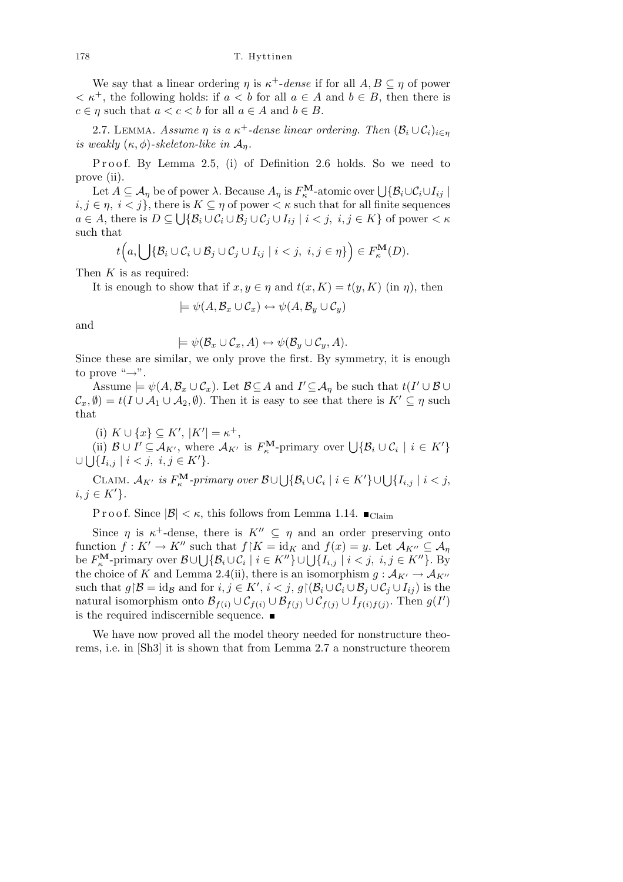We say that a linear ordering  $\eta$  is  $\kappa^+$ -dense if for all  $A, B \subseteq \eta$  of power  $\langle \kappa^+, \rangle$  the following holds: if  $a \leq b$  for all  $a \in A$  and  $b \in B$ , then there is  $c \in \eta$  such that  $a < c < b$  for all  $a \in A$  and  $b \in B$ .

2.7. LEMMA. *Assume*  $\eta$  *is a*  $\kappa^+$ -dense linear ordering. Then  $(\mathcal{B}_i \cup \mathcal{C}_i)_{i \in \eta}$ *is weakly*  $(\kappa, \phi)$ -skeleton-like in  $\mathcal{A}_n$ .

Proof. By Lemma 2.5, (i) of Definition 2.6 holds. So we need to prove (ii).

Let  $A \subseteq \mathcal{A}_{\eta}$  be of power  $\lambda$ . Because  $A_{\eta}$  is  $F_{\kappa}^{\mathbf{M}}$ -atomic over  $\bigcup \{ \mathcal{B}_i \cup \mathcal{C}_i \cup I_{ij} \mid$  $i, j \in \eta, i < j\},\$  there is  $K \subseteq \eta$  of power  $\lt \kappa$  such that for all finite sequences  $a \in A$ , there is  $D \subseteq \bigcup \{ \mathcal{B}_i \cup \mathcal{C}_i \cup \mathcal{B}_j \cup \mathcal{C}_j \cup I_{ij} \mid i < j, i, j \in K \}$  of power  $\lt \kappa$ such that  $\overline{\phantom{a}}$  $\mathbf{r}$ 

$$
t\Big(a,\bigcup\{\mathcal{B}_i\cup\mathcal{C}_i\cup\mathcal{B}_j\cup\mathcal{C}_j\cup I_{ij}\mid i
$$

Then *K* is as required:

It is enough to show that if  $x, y \in \eta$  and  $t(x, K) = t(y, K)$  (in  $\eta$ ), then

$$
\models \psi(A, \mathcal{B}_x \cup \mathcal{C}_x) \leftrightarrow \psi(A, \mathcal{B}_y \cup \mathcal{C}_y)
$$

and

$$
\models \psi(\mathcal{B}_x \cup \mathcal{C}_x, A) \leftrightarrow \psi(\mathcal{B}_y \cup \mathcal{C}_y, A).
$$

Since these are similar, we only prove the first. By symmetry, it is enough to prove "*→*".

Assume  $\models \psi(A, \mathcal{B}_x \cup \mathcal{C}_x)$ . Let  $\mathcal{B} \subseteq A$  and  $I' \subseteq \mathcal{A}_\eta$  be such that  $t(I' \cup \mathcal{B} \cup \mathcal{C}_x)$  $C_x$ ,  $\emptyset$ ) = *t*( $I \cup A_1 \cup A_2$ ,  $\emptyset$ ). Then it is easy to see that there is  $K' \subseteq \eta$  such that

(i)  $K \cup \{x\} \subseteq K', |K'| = \kappa^+,$ 

(i)  $\mathcal{B} \cup \{x\} \subseteq \mathcal{A}_{K'}$ ,  $|\mathcal{A}| = \mathcal{K}'$ ,<br>(ii)  $\mathcal{B} \cup I' \subseteq \mathcal{A}_{K'}$ , where  $\mathcal{A}_{K'}$  is  $F_{\kappa}^{\mathbf{M}}$ -primary over  $\bigcup \{\mathcal{B}_i \cup \mathcal{C}_i \mid i \in K'\}$ *∪*  $\bigcup \{I_{i,j} \mid i < j, i, j \in K'\}.$ 

CLAIM.  $A_{K'}$  is  $F_{\kappa}^{\mathbf{M}}$ -primary over  $\mathcal{B}\cup\bigcup\{\mathcal{B}_i\cup\mathcal{C}_i\mid i\in K'\}\cup\bigcup\{I_{i,j}\mid i< j,\}$  $i, j \in K'$ .

P r o o f. Since  $|\mathcal{B}| < \kappa$ , this follows from Lemma 1.14.  $\blacksquare$ <sub>Claim</sub>

Since  $\eta$  is  $\kappa^+$ -dense, there is  $K'' \subseteq \eta$  and an order preserving onto function  $f: K' \to K''$  such that  $f|K = id_K$  and  $f(x) = y$ . Let  $\mathcal{A}_{K''} \subseteq \mathcal{A}_n$ runction  $f: \mathbb{A} \to \mathbb{A}$  such that  $f | \mathbb{A} = \text{Id}_K$  and  $f(x) = y$ . Let  $\mathcal{A}_{K''} \subseteq \mathcal{A}_{\eta}$ <br>be  $F_{\kappa}^{\mathbb{M}}$ -primary over  $\mathcal{B} \cup \bigcup \{\mathcal{B}_i \cup \mathcal{C}_i | i \in K''\} \cup \bigcup \{I_{i,j} | i < j, i, j \in K''\}$ . By the choice of *K* and Lemma 2.4(ii), there is an isomorphism  $g : A_{K'} \to A_{K''}$ such that  $g | B = id_{\mathcal{B}}$  and for  $i, j \in K', i < j$ ,  $g | (B_i \cup C_i \cup B_j \cup C_j \cup I_{ij})$  is the natural isomorphism onto  $\mathcal{B}_{f(i)} \cup \mathcal{C}_{f(i)} \cup \mathcal{B}_{f(j)} \cup \mathcal{C}_{f(j)} \cup I_{f(i)f(j)}$ . Then  $g(I')$ is the required indiscernible sequence.

We have now proved all the model theory needed for nonstructure theorems, i.e. in [Sh3] it is shown that from Lemma 2.7 a nonstructure theorem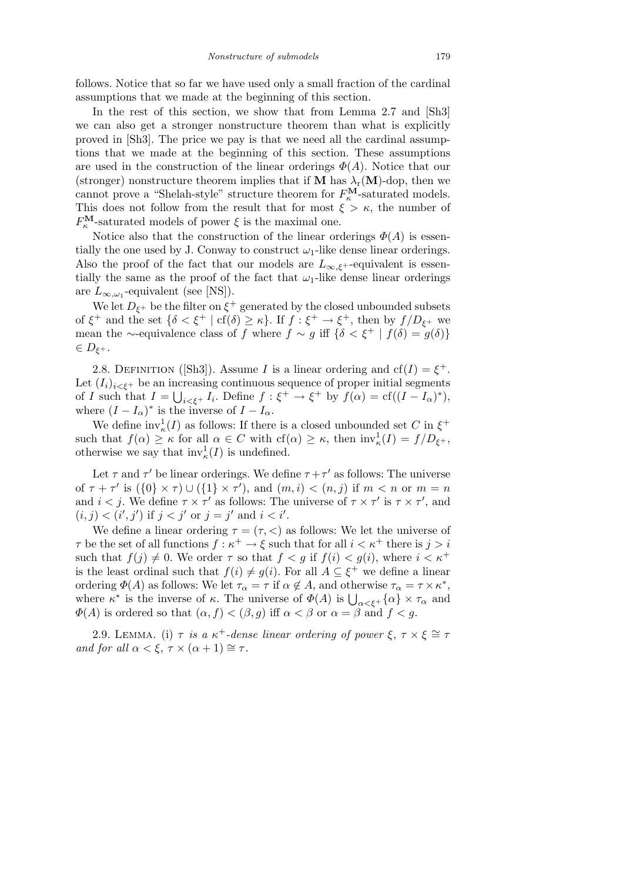follows. Notice that so far we have used only a small fraction of the cardinal assumptions that we made at the beginning of this section.

In the rest of this section, we show that from Lemma 2.7 and [Sh3] we can also get a stronger nonstructure theorem than what is explicitly proved in [Sh3]. The price we pay is that we need all the cardinal assumptions that we made at the beginning of this section. These assumptions are used in the construction of the linear orderings  $\Phi(A)$ . Notice that our (stronger) nonstructure theorem implies that if **M** has  $\lambda_{r}(\mathbf{M})$ -dop, then we cannot prove a "Shelah-style" structure theorem for  $F_{\kappa}^{\mathbf{M}}$ -saturated models. This does not follow from the result that for most  $\xi > \kappa$ , the number of  $F_{\kappa}^{\mathbf{M}}$ -saturated models of power  $\xi$  is the maximal one.

Notice also that the construction of the linear orderings  $\Phi(A)$  is essentially the one used by J. Conway to construct  $\omega_1$ -like dense linear orderings. Also the proof of the fact that our models are  $L_{\infty,\xi^+}$ -equivalent is essentially the same as the proof of the fact that  $\omega_1$ -like dense linear orderings are  $L_{\infty,\omega_1}$ -equivalent (see [NS]).

We let  $D_{\xi^+}$  be the filter on  $\xi^+$  generated by the closed unbounded subsets of  $\xi^+$  and the set  $\{\delta < \xi^+ \mid \text{cf}(\delta) \geq \kappa\}$ . If  $f : \xi^+ \to \xi^+$ , then by  $f/D_{\xi^+}$  we mean the ∼-equivalence class of *f* where  $f \sim g$  iff  $\{\delta \leq \xi^+ \mid f(\delta) = g(\delta)\}$  $\in D_{\xi^+}.$ 

2.8. DEFINITION ([Sh3]). Assume *I* is a linear ordering and  $cf(I) = \xi^+$ . Let  $(I_i)_{i \leq \xi^+}$  be an increasing continuous sequence of proper initial segments of *I* such that  $I = \bigcup_{i < \xi^+} I_i$ . Define  $f : \xi^+ \to \xi^+$  by  $f(\alpha) = \text{cf}((I - I_\alpha)^*)$ , where  $(I - I_{\alpha})^*$  is the inverse of  $I - I_{\alpha}$ .

We define  $\text{inv}_\kappa^1(I)$  as follows: If there is a closed unbounded set  $C$  in  $\xi^+$ such that  $f(\alpha) \geq \kappa$  for all  $\alpha \in C$  with  $cf(\alpha) \geq \kappa$ , then  $inv_{\kappa}^1(I) = f/D_{\xi^+}$ , otherwise we say that  $\mathrm{inv}_\kappa^1(I)$  is undefined.

Let  $\tau$  and  $\tau'$  be linear orderings. We define  $\tau + \tau'$  as follows: The universe of  $\tau + \tau'$  is  $({0} \times \tau) \cup ({1} \times \tau')$ , and  $(m, i) < (n, j)$  if  $m < n$  or  $m = n$ and  $i < j$ . We define  $\tau \times \tau'$  as follows: The universe of  $\tau \times \tau'$  is  $\tau \times \tau'$ , and  $(i, j) < (i', j')$  if  $j < j'$  or  $j = j'$  and  $i < i'$ .

We define a linear ordering  $\tau = (\tau, <)$  as follows: We let the universe of *τ* be the set of all functions  $f: \kappa^+ \to \xi$  such that for all  $i < \kappa^+$  there is  $j > i$ such that  $f(i) \neq 0$ . We order  $\tau$  so that  $f < g$  if  $f(i) < g(i)$ , where  $i < \kappa^+$ is the least ordinal such that  $f(i) \neq g(i)$ . For all  $A \subseteq \xi^+$  we define a linear ordering  $\Phi(A)$  as follows: We let  $\tau_{\alpha} = \tau$  if  $\alpha \notin A$ , and otherwise  $\tau_{\alpha} = \tau \times \kappa^*$ , bridge  $\varphi(A)$  as follows: we let  $\tau_{\alpha} = \tau \ln \alpha \notin A$ , and otherwise  $\tau_{\alpha} = \tau \times \kappa$ ,<br>where  $\kappa^*$  is the inverse of  $\kappa$ . The universe of  $\Phi(A)$  is  $\bigcup_{\alpha < \xi^+} {\alpha} \times \tau_{\alpha}$  and  $\Phi(A)$  is ordered so that  $(\alpha, f) < (\beta, g)$  iff  $\alpha < \beta$  or  $\alpha = \beta$  and  $f < g$ .

2.9. LEMMA. (i)  $\tau$  *is a*  $\kappa^+$ -dense linear ordering of power  $\xi$ ,  $\tau \times \xi \cong \tau$ *and for all*  $\alpha < \xi$ ,  $\tau \times (\alpha + 1) \cong \tau$ .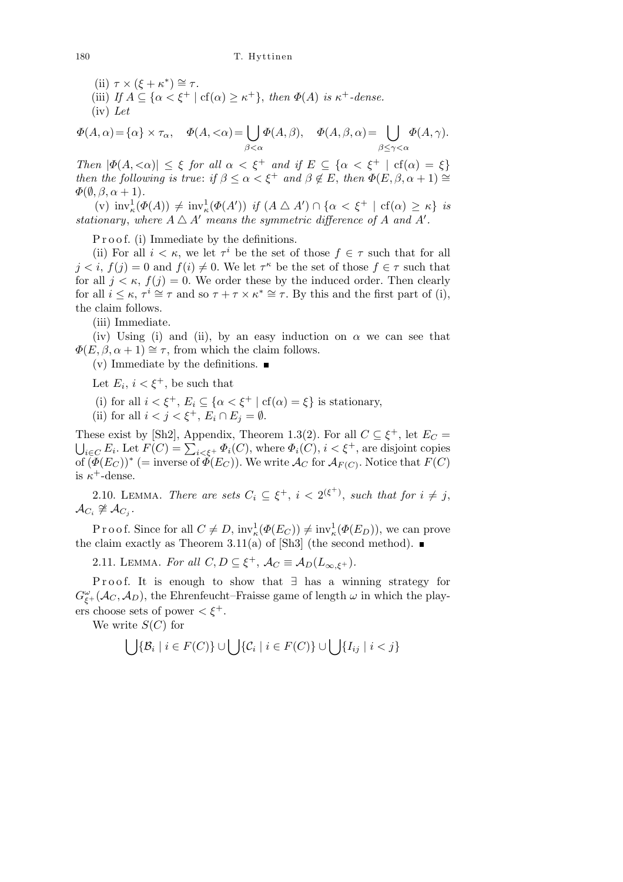(ii) 
$$
\tau \times (\xi + \kappa^*) \cong \tau
$$
.  
\n(iii) If  $A \subseteq \{\alpha < \xi^+ \mid cf(\alpha) \ge \kappa^+\}$ , then  $\Phi(A)$  is  $\kappa^+$ -dense.  
\n(iv) Let

$$
\Phi(A,\alpha) = \{\alpha\} \times \tau_{\alpha}, \quad \Phi(A,<\alpha) = \bigcup_{\beta < \alpha} \Phi(A,\beta), \quad \Phi(A,\beta,\alpha) = \bigcup_{\beta \le \gamma < \alpha} \Phi(A,\gamma).
$$

*Then*  $|\Phi(A, \langle \alpha \rangle)| \leq \xi$  *for all*  $\alpha < \xi^+$  *and if*  $E \subseteq \{\alpha < \xi^+ | \operatorname{cf}(\alpha) = \xi\}$ *then the following is true: if*  $\beta \leq \alpha < \xi^+$  *and*  $\beta \notin E$ , *then*  $\Phi(E, \beta, \alpha + 1) \cong$  $\Phi(\emptyset, \beta, \alpha + 1)$ .

 $(v)$   $inv_{\kappa}^1(\Phi(A)) \neq inv_{\kappa}^1(\Phi(A'))$  *if*  $(A \triangle A') \cap {\alpha < \xi^+ | \text{cf}(\alpha) \geq \kappa}$  *is stationary, where*  $A \triangle A'$  *means the symmetric difference of*  $A$  *and*  $A'$ *.* 

P r o o f. (i) Immediate by the definitions.

(ii) For all  $i < \kappa$ , we let  $\tau^i$  be the set of those  $f \in \tau$  such that for all  $j < i$ ,  $f(j) = 0$  and  $f(i) \neq 0$ . We let  $\tau^k$  be the set of those  $f \in \tau$  such that for all  $j < \kappa$ ,  $f(j) = 0$ . We order these by the induced order. Then clearly for all  $i \leq \kappa$ ,  $\tau^i \cong \tau$  and so  $\tau + \tau \times \kappa^* \cong \tau$ . By this and the first part of (i), the claim follows.

(iii) Immediate.

(iv) Using (i) and (ii), by an easy induction on  $\alpha$  we can see that  $\Phi(E, \beta, \alpha + 1) \cong \tau$ , from which the claim follows.

(v) Immediate by the definitions.  $\blacksquare$ 

Let  $E_i$ ,  $i < \xi^+$ , be such that

(i) for all  $i < \xi^+$ ,  $E_i \subseteq {\alpha < \xi^+ \mid \text{cf}(\alpha) = \xi}$  is stationary,

(ii) for all  $i < j < \xi^+, E_i \cap E_j = \emptyset$ .

These exist by [Sh2], Appendix, Theorem 1.3(2). For all  $C \subseteq \xi^+$ , let  $E_C =$  $\sum_{i \in C} E_i$ . Let  $F(C) = \sum_{i \leq \xi^+} \Phi_i(C)$ , where  $\Phi_i(C)$ ,  $i \leq \xi^+$ , are disjoint copies of  $(\widetilde{\Phi}(E_C))^*$  (= inverse of  $\widetilde{\Phi}(E_C)$ ). We write  $\mathcal{A}_C$  for  $\mathcal{A}_{F(C)}$ . Notice that  $F(C)$ is  $\kappa^+$ -dense.

2.10. LEMMA. *There are sets*  $C_i \subseteq \xi^+, i < 2^{(\xi^+)}$ , such that for  $i \neq j$ ,  $\mathcal{A}_{C_i} \not\cong \mathcal{A}_{C_j}$ .

Proof. Since for all  $C \neq D$ ,  $\text{inv}_\kappa^1(\Phi(E_C)) \neq \text{inv}_\kappa^1(\Phi(E_D))$ , we can prove the claim exactly as Theorem 3.11(a) of [Sh3] (the second method).  $\blacksquare$ 

2.11. LEMMA. *For all*  $C, D \subseteq \xi^+, \mathcal{A}_C \equiv \mathcal{A}_D(L_{\infty,\xi^+})$ .

P r o o f. It is enough to show that *∃* has a winning strategy for  $G_{\xi^+}^{\omega}(\mathcal{A}_C, \mathcal{A}_D)$ , the Ehrenfeucht–Fraisse game of length  $\omega$  in which the players choose sets of power  $\langle \xi^+$ .

We write *S*(*C*) for  $\mathbf{r}$ 

$$
\bigcup \{\mathcal{B}_i \mid i \in F(C)\} \cup \bigcup \{\mathcal{C}_i \mid i \in F(C)\} \cup \bigcup \{I_{ij} \mid i < j\}
$$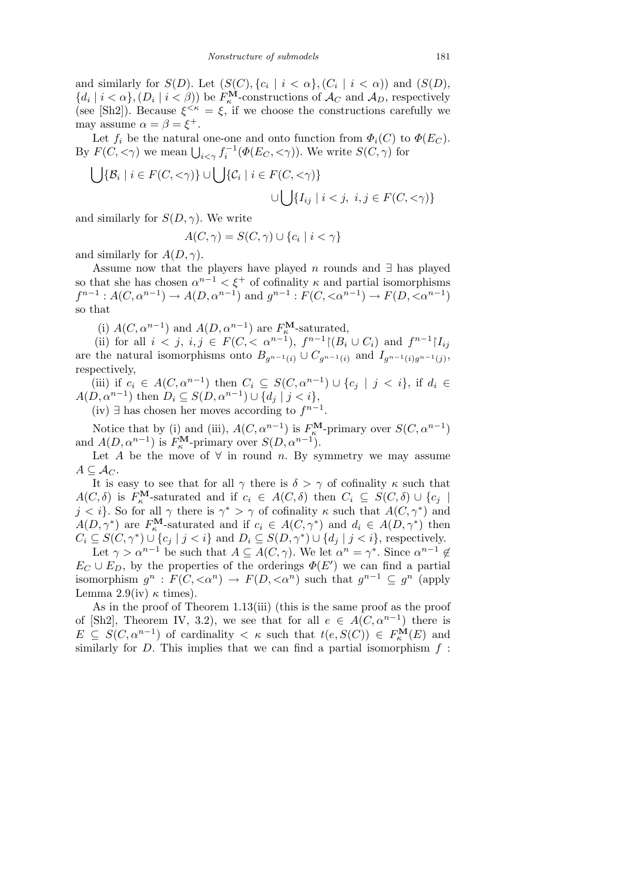and similarly for  $S(D)$ . Let  $(S(C), \{c_i \mid i < \alpha\}, (C_i \mid i < \alpha))$  and  $(S(D),$  ${d_i | i < \alpha}$ ,  $(D_i | i < \beta)$ ) be  $F_{\kappa}^{\mathbf{M}}$ -constructions of  $\mathcal{A}_C$  and  $\mathcal{A}_D$ , respectively (see [Sh2]). Because  $\xi^{<\kappa} = \xi$ , if we choose the constructions carefully we may assume  $\alpha = \beta = \xi^+$ .

Let  $f_i$  be the natural one-one and onto function from  $\Phi_i(C)$  to  $\Phi(E_C)$ . By  $F(C, \langle \gamma \rangle)$  we mean  $\bigcup_{i \leq \gamma} f_i^{-1}(\Phi(E_C, \langle \gamma \rangle))$ . We write  $S(C, \gamma)$  for

$$
\bigcup \{ \mathcal{B}_i \mid i \in F(C, <\gamma) \} \cup \bigcup \{ \mathcal{C}_i \mid i \in F(C, <\gamma) \} \cup \bigcup \{ I_{ij} \mid i < j, i, j \in F(C, <\gamma) \}
$$

and similarly for  $S(D, \gamma)$ . We write

$$
A(C, \gamma) = S(C, \gamma) \cup \{c_i \mid i < \gamma\}
$$

and similarly for  $A(D, \gamma)$ .

Assume now that the players have played *n* rounds and *∃* has played so that she has chosen  $\alpha^{n-1} < \xi^+$  of cofinality  $\kappa$  and partial isomorphisms  $f^{n-1}: A(C, \alpha^{n-1}) \to A(D, \alpha^{n-1})$  and  $g^{n-1}: F(C, \langle \alpha^{n-1} \rangle \to F(D, \langle \alpha^{n-1} \rangle))$ so that

(i)  $A(C, \alpha^{n-1})$  and  $A(D, \alpha^{n-1})$  are  $F_{\kappa}^{\mathbf{M}}$ -saturated,

(ii) for all  $i < j$ ,  $i, j \in F(C, < \alpha^{n-1})$ ,  $f^{n-1} \upharpoonright (B_i \cup C_i)$  and  $f^{n-1} \upharpoonright I_{ij}$ are the natural isomorphisms onto  $B_{g^{n-1}(i)} \cup C_{g^{n-1}(i)}$  and  $I_{g^{n-1}(i)g^{n-1}(j)}$ , respectively,

(iii) if  $c_i \in A(C, \alpha^{n-1})$  then  $C_i \subseteq S(C, \alpha^{n-1}) \cup \{c_j \mid j < i\}$ , if  $d_i \in$  $A(D, \alpha^{n-1})$  then  $D_i \subseteq S(D, \alpha^{n-1}) \cup \{d_j \mid j < i\},$ 

 $(iv)$  *∃* has chosen her moves according to  $f^{n-1}$ .

Notice that by (i) and (iii),  $A(C, \alpha^{n-1})$  is  $F_{\kappa}^{\mathbf{M}}$ -primary over  $S(C, \alpha^{n-1})$ and  $A(D, \alpha^{n-1})$  is  $F_{\kappa}^{\mathbf{M}}$ -primary over  $S(D, \alpha^{n-1})$ .

Let *A* be the move of  $\forall$  in round *n*. By symmetry we may assume  $A \subseteq \mathcal{A}_C$ .

It is easy to see that for all  $\gamma$  there is  $\delta > \gamma$  of cofinality  $\kappa$  such that *A*(*C, δ*) is  $F_{\kappa}^{\mathbf{M}}$ -saturated and if  $c_i \in A(C, \delta)$  then  $C_i \subseteq S(C, \delta) \cup \{c_j \mid$ *j*  $\lt i$ }. So for all  $\gamma$  there is  $\gamma^*$   $> \gamma$  of cofinality  $\kappa$  such that  $A(C, \gamma^*)$  and  $A(D, \gamma^*)$  are  $F_{\kappa}^{\mathbf{M}}$ -saturated and if  $c_i \in A(C, \gamma^*)$  and  $d_i \in A(D, \gamma^*)$  then  $C_i \subseteq S(C, \gamma^*) \cup \{c_j \mid j < i\}$  and  $D_i \subseteq S(D, \gamma^*) \cup \{d_j \mid j < i\}$ , respectively.

Let  $\gamma > \alpha^{n-1}$  be such that  $A \subseteq A(C, \gamma)$ . We let  $\alpha^n = \gamma^*$ . Since  $\alpha^{n-1} \notin$  $E_C \cup E_D$ , by the properties of the orderings  $\Phi(E')$  we can find a partial isomorphism  $g^n$ :  $F(C, \langle \alpha^n \rangle) \rightarrow F(D, \langle \alpha^n \rangle)$  such that  $g^{n-1} \subseteq g^n$  (apply Lemma 2.9(iv)  $\kappa$  times).

As in the proof of Theorem 1.13(iii) (this is the same proof as the proof of [Sh2], Theorem IV, 3.2), we see that for all  $e \in A(C, \alpha^{n-1})$  there is  $E \subseteq S(C, \alpha^{n-1})$  of cardinality  $\lt \kappa$  such that  $t(e, S(C)) \in F_{\kappa}^{\mathbf{M}}(E)$  and similarly for *D*. This implies that we can find a partial isomorphism *f* :